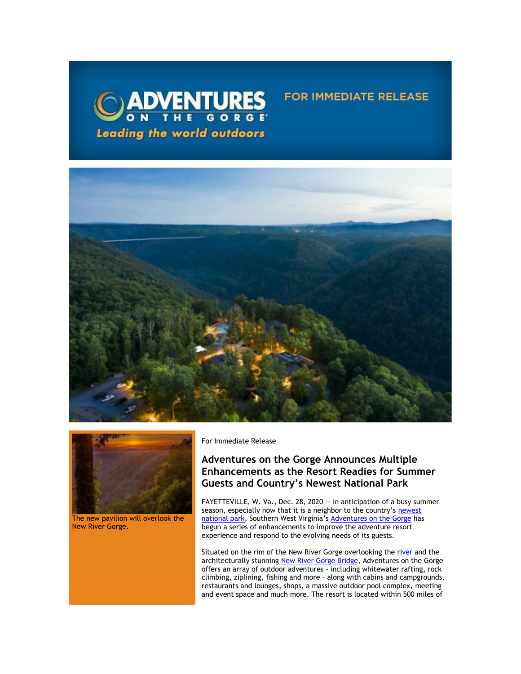



The new pavilion will overlook the New River Gorge.

For Immediate Release

# **Adventures on the Gorge Announces Multiple Enhancements as the Resort Readies for Summer Guests and Country's Newest National Park**

**FOR IMMEDIATE RELEASE** 

FAYETTEVILLE, W. Va., Dec. 28, 2020 -- In anticipation of a busy summer season, especially now that it is a neighbor to the country's newest [national park,](https://click.icptrack.com/icp/relay.php?r=13440961&msgid=468438&act=3SPQ&c=1378153&destination=https%3A%2F%2Fwww.nps.gov%2Fneri%2Findex.htm&cf=13608&v=7a55c2f9fbd36050fd920611b4f9f5233236fe343627cd8afd59cdc1b46b572d) Southern West Virginia's [Adventures on the Gorge](https://click.icptrack.com/icp/relay.php?r=13440961&msgid=468438&act=3SPQ&c=1378153&destination=http%3A%2F%2Fwww.adventuresonthegorge.com%2F&cf=13608&v=5a6d29c5bd89500c6946838c97b8849561ebbd48dbb2fdae9fe0068cb3f8e60e) has begun a series of enhancements to improve the adventure resort experience and respond to the evolving needs of its guests.

Situated on the rim of the New River Gorge overlooking the [river](https://click.icptrack.com/icp/relay.php?r=13440961&msgid=468438&act=3SPQ&c=1378153&destination=https%3A%2F%2Fwww.nps.gov%2Fneri%2Findex.htm&cf=13608&v=7a55c2f9fbd36050fd920611b4f9f5233236fe343627cd8afd59cdc1b46b572d) and the architecturally stunning [New River Gorge Bridge,](https://click.icptrack.com/icp/relay.php?r=13440961&msgid=468438&act=3SPQ&c=1378153&destination=https%3A%2F%2Fadventuresonthegorge.com%2Fadventures%2Fzip-line-aerial-adventures%2Fbridge-walk%2F&cf=13608&v=435dd7ef93b7a5ec1673b04382975af02f4cd97e1ef62cab683c9a525c7ed4a2) Adventures on the Gorge offers an array of outdoor adventures – including whitewater rafting, rock climbing, ziplining, fishing and more – along with cabins and campgrounds, restaurants and lounges, shops, a massive outdoor pool complex, meeting and event space and much more. The resort is located within 500 miles of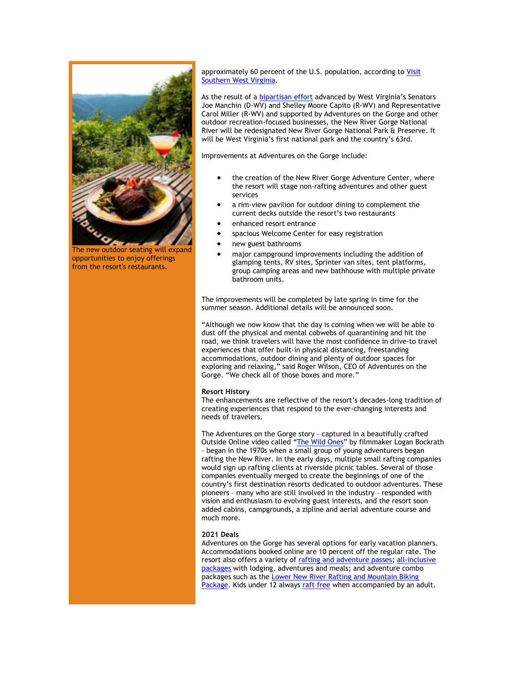

The new outdoor seating will expand opportunities to enjoy offerings from the resort's restaurants.

approximately 60 percent of the U.S. population, according to Visit [Southern West Virginia.](https://click.icptrack.com/icp/relay.php?r=13440961&msgid=468438&act=3SPQ&c=1378153&destination=https%3A%2F%2Fvisitwv.com%2Four-area%2Fmaps%2F&cf=13608&v=cdd48b98f9d7362acb2d9c92293dd65baabdb779cbb180a25b2865d4cebf7e59)

As the result of a [bipartisan effort](https://click.icptrack.com/icp/relay.php?r=13440961&msgid=468438&act=3SPQ&c=1378153&destination=https%3A%2F%2Fwww.manchin.senate.gov%2Fnewsroom%2Fpress-releases%2Fmanchin-capito-announce-bill-designating-new-river-gorge-a-national-park-preserve&cf=13608&v=6a6aad587db117610ccafcfaa60396d40fea4b01e007105ff7a4531eacfdea12) advanced by West Virginia's Senators Joe Manchin (D-WV) and Shelley Moore Capito (R-WV) and Representative Carol Miller (R-WV) and supported by Adventures on the Gorge and other outdoor recreation-focused businesses, the New River Gorge National River will be redesignated New River Gorge National Park & Preserve. It will be West Virginia's first national park and the country's 63rd.

Improvements at Adventures on the Gorge include:

- the creation of the New River Gorge Adventure Center, where the resort will stage non-rafting adventures and other guest services
- a rim-view pavilion for outdoor dining to complement the current decks outside the resort's two restaurants
- enhanced resort entrance
- spacious Welcome Center for easy registration
- new guest bathrooms
- major campground improvements including the addition of glamping tents, RV sites, Sprinter van sites, tent platforms, group camping areas and new bathhouse with multiple private bathroom units.

The improvements will be completed by late spring in time for the summer season. Additional details will be announced soon.

"Although we now know that the day is coming when we will be able to dust off the physical and mental cobwebs of quarantining and hit the road, we think travelers will have the most confidence in drive-to travel experiences that offer built-in physical distancing, freestanding accommodations, outdoor dining and plenty of outdoor spaces for exploring and relaxing," said Roger Wilson, CEO of Adventures on the Gorge. "We check all of those boxes and more."

### **Resort History**

The enhancements are reflective of the resort's decades-long tradition of creating experiences that respond to the ever-changing interests and needs of travelers.

The Adventures on the Gorge story – captured in a beautifully crafted Outside Online video called "[The Wild Ones](https://click.icptrack.com/icp/relay.php?r=13440961&msgid=468438&act=3SPQ&c=1378153&destination=https%3A%2F%2Fwww.outsideonline.com%2F2069091%2Fintroduction-wild-ones&cf=13608&v=a90dcbf4122f019ee4f42848c7960566f9d54fc086fae09cf47b922f761fb3d1)" by filmmaker Logan Bockrath – began in the 1970s when a small group of young adventurers began rafting the New River. In the early days, multiple small rafting companies would sign up rafting clients at riverside picnic tables. Several of those companies eventually merged to create the beginnings of one of the country's first destination resorts dedicated to outdoor adventures. These pioneers – many who are still involved in the industry – responded with vision and enthusiasm to evolving guest interests, and the resort soon added cabins, campgrounds, a zipline and aerial adventure course and much more.

## **2021 Deals**

Adventures on the Gorge has several options for early vacation planners. Accommodations booked online are 10 percent off the regular rate. The resort also offers a variety of [rafting and adventure passes;](https://click.icptrack.com/icp/relay.php?r=13440961&msgid=468438&act=3SPQ&c=1378153&destination=https%3A%2F%2Fadventuresonthegorge.com%2F2020-adventure-passes%2F&cf=13608&v=d3096b67936a5b3ffd22faeca8e8963a2582109e23f69a1409fb392cb51a8fa7) [all-inclusive](https://click.icptrack.com/icp/relay.php?r=13440961&msgid=468438&act=3SPQ&c=1378153&destination=https%3A%2F%2Fadventuresonthegorge.com%2Fpackages%2F&cf=13608&v=8751df1b896b42a43c8f638cff3537e1a0bec91ccd87a43021a073a818c593de)  [packages](https://click.icptrack.com/icp/relay.php?r=13440961&msgid=468438&act=3SPQ&c=1378153&destination=https%3A%2F%2Fadventuresonthegorge.com%2Fpackages%2F&cf=13608&v=8751df1b896b42a43c8f638cff3537e1a0bec91ccd87a43021a073a818c593de) with lodging, adventures and meals; and adventure combo packages such as the [Lower New River Rafting and Mountain Biking](https://click.icptrack.com/icp/relay.php?r=13440961&msgid=468438&act=3SPQ&c=1378153&destination=https%3A%2F%2Fadventuresonthegorge.com%2Fpackages%2F1-day-adventure-combo-packages%2Flower-new-river-mountain-biking-package%2F&cf=13608&v=b4713ccab202ddd2de0c3d1954cac50f205be97ff8b1f398b3b771400fa8e6e5)  [Package.](https://click.icptrack.com/icp/relay.php?r=13440961&msgid=468438&act=3SPQ&c=1378153&destination=https%3A%2F%2Fadventuresonthegorge.com%2Fpackages%2F1-day-adventure-combo-packages%2Flower-new-river-mountain-biking-package%2F&cf=13608&v=b4713ccab202ddd2de0c3d1954cac50f205be97ff8b1f398b3b771400fa8e6e5) Kids under 12 always [raft free w](https://click.icptrack.com/icp/relay.php?r=13440961&msgid=468438&act=3SPQ&c=1378153&destination=https%3A%2F%2Fadventuresonthegorge.com%2Foffers-and-discounts%2F&cf=13608&v=8ce5b48ee04feb9cfa1fc6e67e42d97af34b011f25b06956fde3d446df10ff49)hen accompanied by an adult.